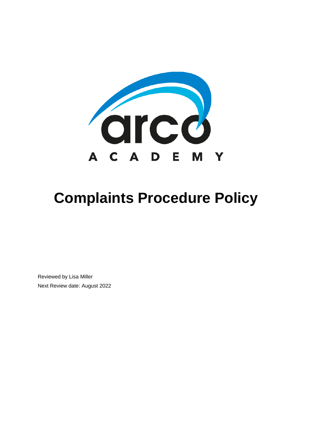

# **Complaints Procedure Policy**

Reviewed by Lisa Miller Next Review date: August 2022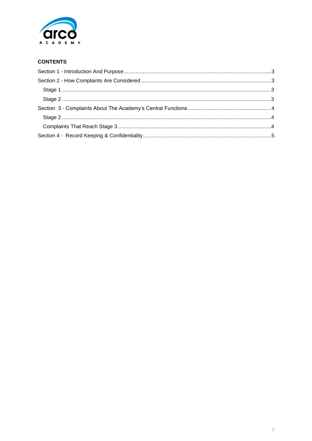

# **CONTENTS**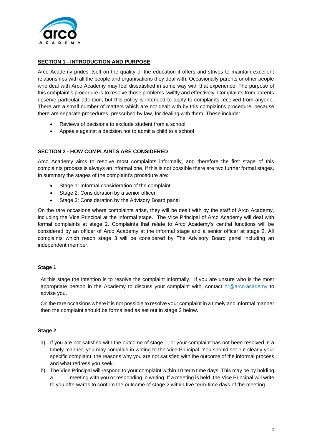

# <span id="page-2-0"></span>**SECTION 1 - INTRODUCTION AND PURPOSE**

Arco Academy prides itself on the quality of the education it offers and strives to maintain excellent relationships with all the people and organisations they deal with. Occasionally parents or other people who deal with Arco Academy may feel dissatisfied in some way with that experience. The purpose of this complaint's procedure is to resolve those problems swiftly and effectively. Complaints from parents deserve particular attention, but this policy is intended to apply to complaints received from anyone. There are a small number of matters which are not dealt with by this complaint's procedure, because there are separate procedures, prescribed by law, for dealing with them. These include:

- Reviews of decisions to exclude student from a school
- Appeals against a decision not to admit a child to a school

#### <span id="page-2-1"></span>**SECTION 2 - HOW COMPLAINTS ARE CONSIDERED**

Arco Academy aims to resolve most complaints informally, and therefore the first stage of this complaints process is always an informal one. If this is not possible there are two further formal stages. In summary the stages of the complaint's procedure are:

- Stage 1: Informal consideration of the complaint
- Stage 2: Consideration by a senior officer
- Stage 3: Consideration by the Advisory Board panel

On the rare occasions where complaints arise, they will be dealt with by the staff of Arco Academy, including the Vice Principal at the informal stage. The Vice Principal of Arco Academy will deal with formal complaints at stage 2. Complaints that relate to Arco Academy's central functions will be considered by an officer of Arco Academy at the informal stage and a senior officer at stage 2. All complaints which reach stage 3 will be considered by The Advisory Board panel including an independent member.

#### <span id="page-2-2"></span>**Stage 1**

At this stage the intention is to resolve the complaint informally. If you are unsure who is the most appropriate person in the Academy to discuss your complaint with, contact  $\frac{h\mathcal{R}}{dt}$  arco.academy to advise you.

On the rare occasions where it is not possible to resolve your complaint in a timely and informal manner then the complaint should be formalised as set out in stage 2 below.

# <span id="page-2-3"></span>**Stage 2**

- a) If you are not satisfied with the outcome of stage 1, or your complaint has not been resolved in a timely manner, you may complain in writing to the Vice Principal. You should set out clearly your specific complaint, the reasons why you are not satisfied with the outcome of the informal process and what redress you seek.
- b) The Vice Principal will respond to your complaint within 10 term time days. This may be by holding a meeting with you or responding in writing. If a meeting is held, the Vice Principal will write to you afterwards to confirm the outcome of stage 2 within five term-time days of the meeting.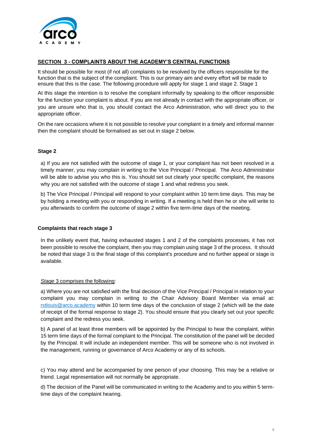

### <span id="page-3-0"></span>**SECTION 3 - COMPLAINTS ABOUT THE ACADEMY'S CENTRAL FUNCTIONS**

It should be possible for most (if not all) complaints to be resolved by the officers responsible for the function that is the subject of the complaint. This is our primary aim and every effort will be made to ensure that this is the case. The following procedure will apply for stage 1 and stage 2. Stage 1

At this stage the intention is to resolve the complaint informally by speaking to the officer responsible for the function your complaint is about. If you are not already in contact with the appropriate officer, or you are unsure who that is, you should contact the Arco Administration, who will direct you to the appropriate officer.

On the rare occasions where it is not possible to resolve your complaint in a timely and informal manner then the complaint should be formalised as set out in stage 2 below.

#### <span id="page-3-1"></span>**Stage 2**

a) If you are not satisfied with the outcome of stage 1, or your complaint has not been resolved in a timely manner, you may complain in writing to the Vice Principal / Principal. The Arco Administrator will be able to advise you who this is. You should set out clearly your specific complaint, the reasons why you are not satisfied with the outcome of stage 1 and what redress you seek.

b) The Vice Principal / Principal will respond to your complaint within 10 term time days. This may be by holding a meeting with you or responding in writing. If a meeting is held then he or she will write to you afterwards to confirm the outcome of stage 2 within five term-time days of the meeting.

#### <span id="page-3-2"></span>**Complaints that reach stage 3**

In the unlikely event that, having exhausted stages 1 and 2 of the complaints processes, it has not been possible to resolve the complaint, then you may complain using stage 3 of the process. It should be noted that stage 3 is the final stage of this complaint's procedure and no further appeal or stage is available.

#### *Stage* 3 comprises the following:

a) Where you are not satisfied with the final decision of the Vice Principal / Principal in relation to your complaint you may complain in writing to the Chair Advisory Board Member via email at: [rstlouis@arco.academy](mailto:rstlouis@arco.academy) within 10 term time days of the conclusion of stage 2 (which will be the date of receipt of the formal response to stage 2). You should ensure that you clearly set out your specific complaint and the redress you seek.

b) A panel of at least three members will be appointed by the Principal to hear the complaint, within 15 term time days of the formal complaint to the Principal. The constitution of the panel will be decided by the Principal. It will include an independent member. This will be someone who is not involved in the management, running or governance of Arco Academy or any of its schools.

c) You may attend and be accompanied by one person of your choosing. This may be a relative or friend. Legal representation will not normally be appropriate.

d) The decision of the Panel will be communicated in writing to the Academy and to you within 5 termtime days of the complaint hearing.